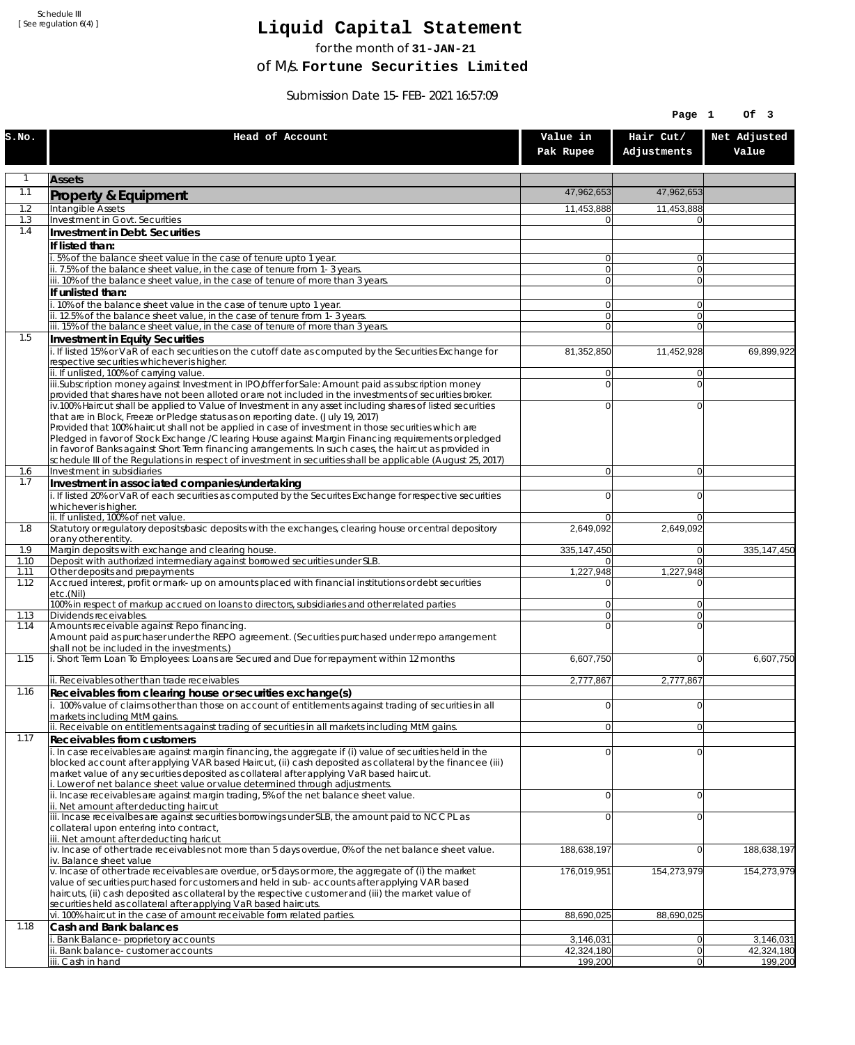Schedule III [ See regulation 6(4) ]

## **Liquid Capital Statement**

for the month of **31-JAN-21**

of M/s. **Fortune Securities Limited**

Submission Date 15-FEB-2021 16:57:09

|              |                                                                                                                                                                                                                        |                                  | Page 1                           | Of 3                    |
|--------------|------------------------------------------------------------------------------------------------------------------------------------------------------------------------------------------------------------------------|----------------------------------|----------------------------------|-------------------------|
| S.NO.        | Head of Account                                                                                                                                                                                                        | Value in<br>Pak Rupee            | Hair Cut/<br>Adjustments         | Net Adjusted<br>Value   |
| 1            | <b>Assets</b>                                                                                                                                                                                                          |                                  |                                  |                         |
| 1.1          | Property & Equipment                                                                                                                                                                                                   | 47,962,653                       | 47,962,653                       |                         |
| 1.2          | Intangible Assets                                                                                                                                                                                                      | 11,453,888                       | 11,453,888                       |                         |
| 1.3<br>1.4   | Investment in Govt. Securities<br>Investment in Debt. Securities                                                                                                                                                       | $\Omega$                         | $\Omega$                         |                         |
|              | If listed than:                                                                                                                                                                                                        |                                  |                                  |                         |
|              | i. 5% of the balance sheet value in the case of tenure upto 1 year.                                                                                                                                                    | $\overline{0}$                   | $\overline{0}$                   |                         |
|              | ii. 7.5% of the balance sheet value, in the case of tenure from 1-3 years.                                                                                                                                             | 0 <br>$\overline{0}$             | $\overline{0}$<br>$\overline{0}$ |                         |
|              | iii. 10% of the balance sheet value, in the case of tenure of more than 3 years.<br>If unlisted than:                                                                                                                  |                                  |                                  |                         |
|              | i. 10% of the balance sheet value in the case of tenure upto 1 year.                                                                                                                                                   | $\overline{0}$                   | $\Omega$                         |                         |
|              | ii. 12.5% of the balance sheet value, in the case of tenure from 1-3 years.                                                                                                                                            | 0                                | $\overline{0}$                   |                         |
| 1.5          | iii. 15% of the balance sheet value, in the case of tenure of more than 3 years.<br>Investment in Equity Securities                                                                                                    | $\overline{0}$                   | $\overline{0}$                   |                         |
|              | i. If listed 15% or VaR of each securities on the cutoff date as computed by the Securities Exchange for                                                                                                               | 81,352,850                       | 11,452,928                       | 69,899,922              |
|              | respective securities whichever is higher.                                                                                                                                                                             |                                  |                                  |                         |
|              | ii. If unlisted, 100% of carrying value.<br>iii.Subscription money against Investment in IPO/offer for Sale: Amount paid as subscription money                                                                         | $\overline{0}$<br>$\overline{0}$ | $\Omega$<br>$\Omega$             |                         |
|              | provided that shares have not been alloted or are not included in the investments of securities broker.                                                                                                                |                                  |                                  |                         |
|              | iv.100% Haircut shall be applied to Value of Investment in any asset including shares of listed securities                                                                                                             | $\overline{0}$                   | $\mathbf{0}$                     |                         |
|              | that are in Block, Freeze or Pledge status as on reporting date. (July 19, 2017)<br>Provided that 100% haircut shall not be applied in case of investment in those securities which are                                |                                  |                                  |                         |
|              | Pledged in favor of Stock Exchange / Clearing House against Margin Financing requirements or pledged                                                                                                                   |                                  |                                  |                         |
|              | in favor of Banks against Short Term financing arrangements. In such cases, the haircut as provided in<br>schedule III of the Regulations in respect of investment in securities shall be applicable (August 25, 2017) |                                  |                                  |                         |
| 1.6          | Investment in subsidiaries                                                                                                                                                                                             | $\overline{0}$                   | $\overline{0}$                   |                         |
| 1.7          | Investment in associated companies/undertaking                                                                                                                                                                         |                                  |                                  |                         |
|              | i. If listed 20% or VaR of each securities as computed by the Securites Exchange for respective securities<br>whichever is higher.                                                                                     | $\overline{0}$                   | $\mathbf{0}$                     |                         |
|              | ii. If unlisted, 100% of net value.                                                                                                                                                                                    | $\overline{0}$                   | $\Omega$                         |                         |
| 1.8          | Statutory or regulatory deposits/basic deposits with the exchanges, clearing house or central depository                                                                                                               | 2,649,092                        | 2,649,092                        |                         |
| 1.9          | or any other entity.<br>Margin deposits with exchange and clearing house.                                                                                                                                              | 335, 147, 450                    | 0                                | 335, 147, 450           |
| 1.10         | Deposit with authorized intermediary against borrowed securities under SLB.                                                                                                                                            | 01                               | $\Omega$                         |                         |
| 1.11<br>1.12 | Other deposits and prepayments<br>Accrued interest, profit or mark-up on amounts placed with financial institutions or debt securities                                                                                 | 1,227,948<br>$\Omega$            | 1,227,948<br>$\Omega$            |                         |
|              | etc.(Nil)                                                                                                                                                                                                              |                                  |                                  |                         |
|              | 100% in respect of markup accrued on loans to directors, subsidiaries and other related parties                                                                                                                        | $\overline{0}$<br>$\overline{0}$ | $\Omega$                         |                         |
| 1.13<br>1.14 | Dividends receivables.<br>Amounts receivable against Repo financing.                                                                                                                                                   | $\Omega$                         | $\Omega$<br>$\mathbf{0}$         |                         |
|              | Amount paid as purchaser under the REPO agreement. (Securities purchased under repo arrangement                                                                                                                        |                                  |                                  |                         |
| 1.15         | shall not be included in the investments.)<br>i. Short Term Loan To Employees: Loans are Secured and Due for repayment within 12 months                                                                                | 6,607,750                        | $\Omega$                         | 6,607,750               |
|              |                                                                                                                                                                                                                        |                                  |                                  |                         |
|              | ii. Receivables other than trade receivables                                                                                                                                                                           | 2,777,867                        | 2,777,867                        |                         |
| 1.16         | Receivables from clearing house or securities exchange(s)<br>i. 100% value of claims other than those on account of entitlements against trading of securities in all                                                  | $\overline{0}$                   | $\overline{0}$                   |                         |
|              | markets including MtM gains.                                                                                                                                                                                           |                                  |                                  |                         |
|              | ii. Receivable on entitlements against trading of securities in all markets including MtM gains.                                                                                                                       | $\overline{0}$                   | 0                                |                         |
| 1.17         | Receivables from customers<br>i. In case receivables are against margin financing, the aggregate if (i) value of securities held in the                                                                                | $\overline{0}$                   | $\Omega$                         |                         |
|              | blocked account after applying VAR based Haircut, (ii) cash deposited as collateral by the financee (iii)                                                                                                              |                                  |                                  |                         |
|              | market value of any securities deposited as collateral after applying VaR based haircut.                                                                                                                               |                                  |                                  |                         |
|              | i. Lower of net balance sheet value or value determined through adjustments.<br>ii. Incase receivables are against margin trading, 5% of the net balance sheet value.                                                  | $\overline{0}$                   | $\overline{0}$                   |                         |
|              | ii. Net amount after deducting haircut                                                                                                                                                                                 |                                  |                                  |                         |
|              | iii. Incase receivalbes are against securities borrowings under SLB, the amount paid to NCCPL as<br>collateral upon entering into contract,                                                                            | $\overline{0}$                   | $\mathbf{0}$                     |                         |
|              | iii. Net amount after deducting haricut                                                                                                                                                                                |                                  |                                  |                         |
|              | iv. Incase of other trade receivables not more than 5 days overdue, 0% of the net balance sheet value.<br>iv. Balance sheet value                                                                                      | 188,638,197                      | 0                                | 188,638,197             |
|              | v. Incase of other trade receivables are overdue, or 5 days or more, the aggregate of (i) the market                                                                                                                   | 176,019,951                      | 154,273,979                      | 154,273,979             |
|              | value of securities purchased for customers and held in sub-accounts after applying VAR based                                                                                                                          |                                  |                                  |                         |
|              | haircuts, (ii) cash deposited as collateral by the respective customer and (iii) the market value of<br>securities held as collateral after applying VaR based haircuts.                                               |                                  |                                  |                         |
|              | vi. 100% haircut in the case of amount receivable form related parties.                                                                                                                                                | 88,690,025                       | 88,690,025                       |                         |
| 1.18         | Cash and Bank balances                                                                                                                                                                                                 |                                  |                                  |                         |
|              | i. Bank Balance-proprietory accounts<br>ii. Bank balance-customer accounts                                                                                                                                             | 3,146,031<br>42,324,180          | 0 <br> 0                         | 3,146,031<br>42,324,180 |
|              | iii. Cash in hand                                                                                                                                                                                                      | 199,200                          | 0                                | 199,200                 |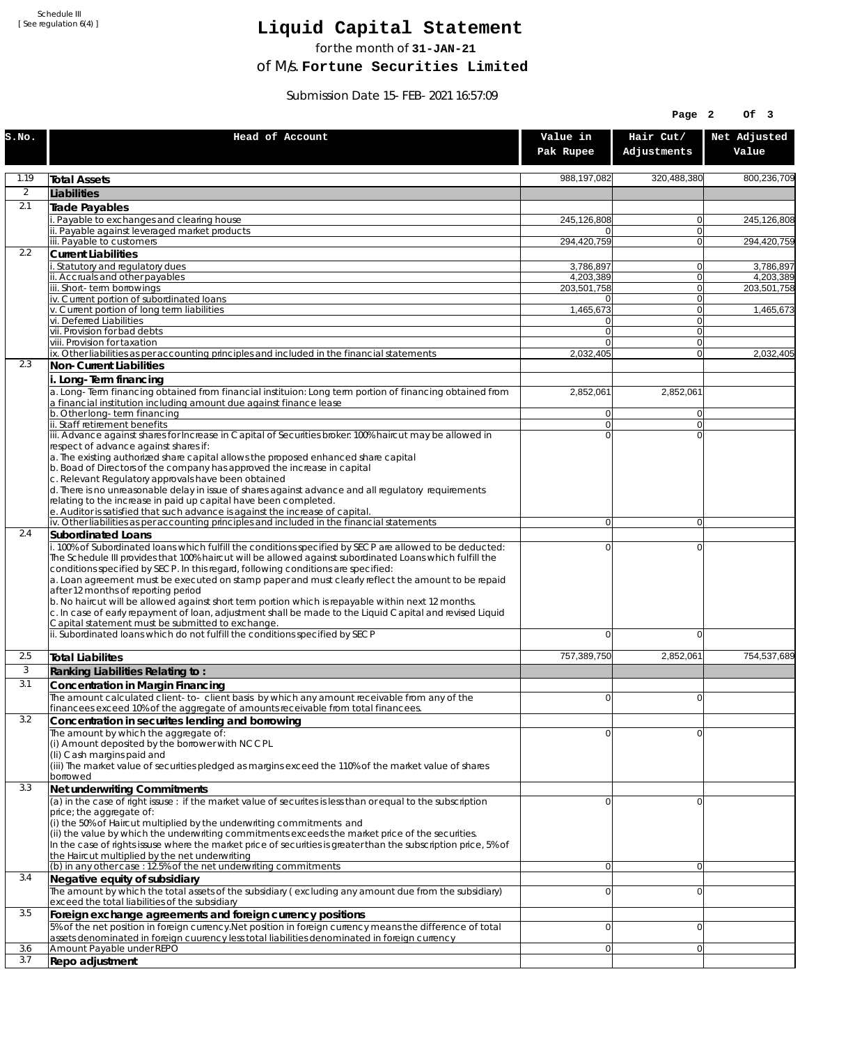Schedule III [ See regulation 6(4) ]

## **Liquid Capital Statement**

for the month of **31-JAN-21**

of M/s. **Fortune Securities Limited**

Submission Date 15-FEB-2021 16:57:09

|       |                                                                                                                                                                                                                                                                                                                                                                                                                                                                                                                                                                                                                                                                          |                        | Page 2                        | Of 3                   |
|-------|--------------------------------------------------------------------------------------------------------------------------------------------------------------------------------------------------------------------------------------------------------------------------------------------------------------------------------------------------------------------------------------------------------------------------------------------------------------------------------------------------------------------------------------------------------------------------------------------------------------------------------------------------------------------------|------------------------|-------------------------------|------------------------|
| S.NO. | Head of Account                                                                                                                                                                                                                                                                                                                                                                                                                                                                                                                                                                                                                                                          | Value in<br>Pak Rupee  | Hair Cut/<br>Adjustments      | Net Adjusted<br>Value  |
| 1.19  | <b>Total Assets</b>                                                                                                                                                                                                                                                                                                                                                                                                                                                                                                                                                                                                                                                      | 988,197,082            | 320,488,380                   | 800,236,709            |
| 2     | Liabilities                                                                                                                                                                                                                                                                                                                                                                                                                                                                                                                                                                                                                                                              |                        |                               |                        |
| 2.1   | Trade Payables                                                                                                                                                                                                                                                                                                                                                                                                                                                                                                                                                                                                                                                           |                        |                               |                        |
|       | i. Payable to exchanges and clearing house<br>ii. Payable against leveraged market products                                                                                                                                                                                                                                                                                                                                                                                                                                                                                                                                                                              | 245,126,808<br>0       | 0<br>$\mathbf{0}$             | 245,126,808            |
|       | iii. Payable to customers                                                                                                                                                                                                                                                                                                                                                                                                                                                                                                                                                                                                                                                | 294,420,759            | 0                             | 294,420,759            |
| 2.2   | <b>Current Liabilities</b>                                                                                                                                                                                                                                                                                                                                                                                                                                                                                                                                                                                                                                               |                        |                               |                        |
|       | i. Statutory and regulatory dues<br>ii. Accruals and other payables                                                                                                                                                                                                                                                                                                                                                                                                                                                                                                                                                                                                      | 3.786.897<br>4.203.389 | 0<br>$\mathbf{0}$             | 3,786,897<br>4,203,389 |
|       | iii. Short-term borrowings                                                                                                                                                                                                                                                                                                                                                                                                                                                                                                                                                                                                                                               | 203,501,758            | $\mathbf 0$                   | 203,501,758            |
|       | iv. Current portion of subordinated loans                                                                                                                                                                                                                                                                                                                                                                                                                                                                                                                                                                                                                                | 0                      | $\mathbf 0$                   |                        |
|       | v. Current portion of long term liabilities<br>vi. Deferred Liabilities                                                                                                                                                                                                                                                                                                                                                                                                                                                                                                                                                                                                  | 1,465,673<br>0         | $\overline{0}$<br>$\mathbf 0$ | 1,465,673              |
|       | vii. Provision for bad debts                                                                                                                                                                                                                                                                                                                                                                                                                                                                                                                                                                                                                                             | $\overline{0}$         | $\mathbf{0}$                  |                        |
|       | viii. Provision for taxation<br>ix. Other liabilities as per accounting principles and included in the financial statements                                                                                                                                                                                                                                                                                                                                                                                                                                                                                                                                              | $\Omega$<br>2,032,405  | 0<br>$\mathbf{0}$             | 2,032,405              |
| 2.3   | <b>Non-Current Liabilities</b>                                                                                                                                                                                                                                                                                                                                                                                                                                                                                                                                                                                                                                           |                        |                               |                        |
|       | i. Long-Term financing<br>a. Long-Term financing obtained from financial instituion: Long term portion of financing obtained from                                                                                                                                                                                                                                                                                                                                                                                                                                                                                                                                        |                        |                               |                        |
|       | a financial institution including amount due against finance lease                                                                                                                                                                                                                                                                                                                                                                                                                                                                                                                                                                                                       | 2,852,061              | 2,852,061                     |                        |
|       | b. Other long-term financing<br>ii. Staff retirement benefits                                                                                                                                                                                                                                                                                                                                                                                                                                                                                                                                                                                                            | 0<br>$\overline{0}$    | $\overline{0}$<br>0           |                        |
|       | iii. Advance against shares for Increase in Capital of Securities broker: 100% haircut may be allowed in                                                                                                                                                                                                                                                                                                                                                                                                                                                                                                                                                                 | $\Omega$               | $\Omega$                      |                        |
|       | respect of advance against shares if:<br>a. The existing authorized share capital allows the proposed enhanced share capital                                                                                                                                                                                                                                                                                                                                                                                                                                                                                                                                             |                        |                               |                        |
|       | b. Boad of Directors of the company has approved the increase in capital                                                                                                                                                                                                                                                                                                                                                                                                                                                                                                                                                                                                 |                        |                               |                        |
|       | c. Relevant Regulatory approvals have been obtained                                                                                                                                                                                                                                                                                                                                                                                                                                                                                                                                                                                                                      |                        |                               |                        |
|       | d. There is no unreasonable delay in issue of shares against advance and all regulatory requirements<br>relating to the increase in paid up capital have been completed.                                                                                                                                                                                                                                                                                                                                                                                                                                                                                                 |                        |                               |                        |
|       | e. Auditor is satisfied that such advance is against the increase of capital.                                                                                                                                                                                                                                                                                                                                                                                                                                                                                                                                                                                            |                        |                               |                        |
| 2.4   | iv. Other liabilities as per accounting principles and included in the financial statements<br><b>Subordinated Loans</b>                                                                                                                                                                                                                                                                                                                                                                                                                                                                                                                                                 | 0                      | $\overline{0}$                |                        |
|       | i. 100% of Subordinated loans which fulfill the conditions specified by SECP are allowed to be deducted:<br>The Schedule III provides that 100% haircut will be allowed against subordinated Loans which fulfill the<br>conditions specified by SECP. In this regard, following conditions are specified:<br>a. Loan agreement must be executed on stamp paper and must clearly reflect the amount to be repaid<br>after 12 months of reporting period<br>b. No haircut will be allowed against short term portion which is repayable within next 12 months.<br>c. In case of early repayment of loan, adjustment shall be made to the Liquid Capital and revised Liquid | 0                      | 0                             |                        |
|       | Capital statement must be submitted to exchange.<br>ii. Subordinated loans which do not fulfill the conditions specified by SECP                                                                                                                                                                                                                                                                                                                                                                                                                                                                                                                                         | 0                      | 0                             |                        |
| 2.5   | <b>Total Liabilites</b>                                                                                                                                                                                                                                                                                                                                                                                                                                                                                                                                                                                                                                                  | 757,389,750            | 2,852,061                     | 754,537,689            |
| 3     | Ranking Liabilities Relating to:                                                                                                                                                                                                                                                                                                                                                                                                                                                                                                                                                                                                                                         |                        |                               |                        |
| 3.1   | Concentration in Margin Financing                                                                                                                                                                                                                                                                                                                                                                                                                                                                                                                                                                                                                                        |                        |                               |                        |
|       | The amount calculated client-to- client basis by which any amount receivable from any of the                                                                                                                                                                                                                                                                                                                                                                                                                                                                                                                                                                             | ΩI                     | $\Omega$                      |                        |
| 3.2   | financees exceed 10% of the aggregate of amounts receivable from total financees.<br>Concentration in securites lending and borrowing                                                                                                                                                                                                                                                                                                                                                                                                                                                                                                                                    |                        |                               |                        |
|       | The amount by which the aggregate of:                                                                                                                                                                                                                                                                                                                                                                                                                                                                                                                                                                                                                                    | $\Omega$               | 0                             |                        |
|       | (i) Amount deposited by the borrower with NCCPL                                                                                                                                                                                                                                                                                                                                                                                                                                                                                                                                                                                                                          |                        |                               |                        |
|       | (Ii) Cash margins paid and<br>(iii) The market value of securities pledged as margins exceed the 110% of the market value of shares                                                                                                                                                                                                                                                                                                                                                                                                                                                                                                                                      |                        |                               |                        |
|       | borrowed                                                                                                                                                                                                                                                                                                                                                                                                                                                                                                                                                                                                                                                                 |                        |                               |                        |
| 3.3   | Net underwriting Commitments                                                                                                                                                                                                                                                                                                                                                                                                                                                                                                                                                                                                                                             |                        |                               |                        |
|       | (a) in the case of right issuse : if the market value of securites is less than or equal to the subscription<br>price; the aggregate of:<br>(i) the 50% of Haircut multiplied by the underwriting commitments and<br>(ii) the value by which the underwriting commitments exceeds the market price of the securities.<br>In the case of rights issuse where the market price of securities is greater than the subscription price, 5% of<br>the Haircut multiplied by the net underwriting                                                                                                                                                                               | 0                      | 0                             |                        |
|       | (b) in any other case : 12.5% of the net underwriting commitments                                                                                                                                                                                                                                                                                                                                                                                                                                                                                                                                                                                                        | 0                      | $\mathbf 0$                   |                        |
| 3.4   | Negative equity of subsidiary<br>The amount by which the total assets of the subsidiary (excluding any amount due from the subsidiary)                                                                                                                                                                                                                                                                                                                                                                                                                                                                                                                                   |                        |                               |                        |
|       | exceed the total liabilities of the subsidiary                                                                                                                                                                                                                                                                                                                                                                                                                                                                                                                                                                                                                           | $\overline{0}$         | 0                             |                        |
| 3.5   | Foreign exchange agreements and foreign currency positions                                                                                                                                                                                                                                                                                                                                                                                                                                                                                                                                                                                                               |                        |                               |                        |
|       | 5% of the net position in foreign currency. Net position in foreign currency means the difference of total<br>assets denominated in foreign cuurency less total liabilities denominated in foreign currency                                                                                                                                                                                                                                                                                                                                                                                                                                                              | $\mathbf 0$            | 0                             |                        |
| 3.6   | Amount Payable under REPO                                                                                                                                                                                                                                                                                                                                                                                                                                                                                                                                                                                                                                                | ٥l                     | $\overline{0}$                |                        |
| 3.7   | Repo adjustment                                                                                                                                                                                                                                                                                                                                                                                                                                                                                                                                                                                                                                                          |                        |                               |                        |